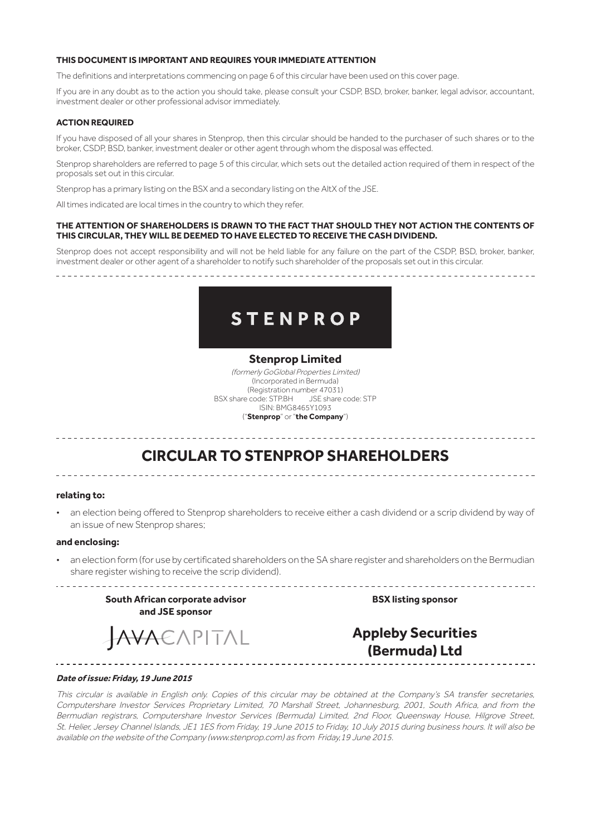## **THIS DOCUMENT IS IMPORTANT AND REQUIRES YOUR IMMEDIATE ATTENTION**

The definitions and interpretations commencing on page 6 of this circular have been used on this cover page.

If you are in any doubt as to the action you should take, please consult your CSDP, BSD, broker, banker, legal advisor, accountant, investment dealer or other professional advisor immediately.

#### **ACTION REQUIRED**

If you have disposed of all your shares in Stenprop, then this circular should be handed to the purchaser of such shares or to the broker, CSDP, BSD, banker, investment dealer or other agent through whom the disposal was effected.

Stenprop shareholders are referred to page 5 of this circular, which sets out the detailed action required of them in respect of the proposals set out in this circular.

Stenprop has a primary listing on the BSX and a secondary listing on the AltX of the JSE.

All times indicated are local times in the country to which they refer.

#### **THE ATTENTION OF SHAREHOLDERS IS DRAWN TO THE FACT THAT SHOULD THEY NOT ACTION THE CONTENTS OF THIS CIRCULAR, THEY WILL BE DEEMED TO HAVE ELECTED TO RECEIVE THE CASH DIVIDEND.**

Stenprop does not accept responsibility and will not be held liable for any failure on the part of the CSDP, BSD, broker, banker, investment dealer or other agent of a shareholder to notify such shareholder of the proposals set out in this circular.



# **Stenprop Limited**

(formerly GoGlobal Properties Limited) (Incorporated in Bermuda) (Registration number 47031) BSX share code: STP.BH JSE share code: STP ISIN: BMG8465Y1093 ("**Stenprop**" or "**the Company**")

# **CIRCULAR TO STENPROP SHAREHOLDERS**

#### **relating to:**

• an election being offered to Stenprop shareholders to receive either a cash dividend or a scrip dividend by way of an issue of new Stenprop shares;

#### **and enclosing:**

• an election form (for use by certificated shareholders on the SA share register and shareholders on the Bermudian share register wishing to receive the scrip dividend).

**South African corporate advisor and JSE sponsor**

**BSX listing sponsor**

-----------------------

# AVAEAPITAL

**Appleby Securities (Bermuda) Ltd**

# **Date of issue: Friday, 19 June 2015**

This circular is available in English only. Copies of this circular may be obtained at the Company's SA transfer secretaries, Computershare Investor Services Proprietary Limited, 70 Marshall Street, Johannesburg, 2001, South Africa, and from the Bermudian registrars, Computershare Investor Services (Bermuda) Limited, 2nd Floor, Queensway House, Hilgrove Street, St. Helier, Jersey Channel Islands, JE1 1ES from Friday, 19 June 2015 to Friday, 10 July 2015 during business hours. It will also be available on the website of the Company (www.stenprop.com) as from Friday,19 June 2015.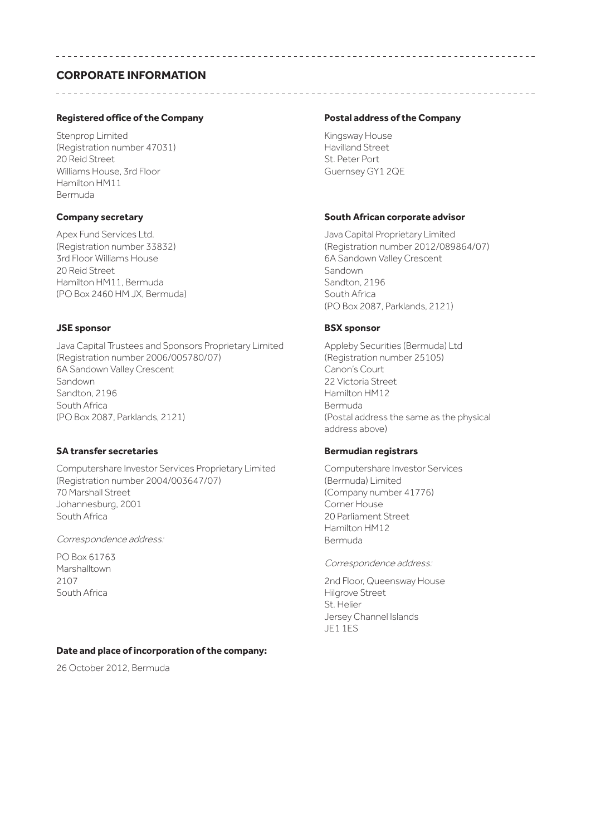# **CORPORATE INFORMATION**

# **Registered office of the Company**

Stenprop Limited (Registration number 47031) 20 Reid Street Williams House, 3rd Floor Hamilton HM11 Bermuda

# **Company secretary**

Apex Fund Services Ltd. (Registration number 33832) 3rd Floor Williams House 20 Reid Street Hamilton HM11, Bermuda (PO Box 2460 HM JX, Bermuda)

# **JSE sponsor**

Java Capital Trustees and Sponsors Proprietary Limited (Registration number 2006/005780/07) 6A Sandown Valley Crescent Sandown Sandton, 2196 South Africa (PO Box 2087, Parklands, 2121)

# **SA transfer secretaries**

Computershare Investor Services Proprietary Limited (Registration number 2004/003647/07) 70 Marshall Street Johannesburg, 2001 South Africa

Correspondence address:

PO Box 61763 Marshalltown 2107 South Africa

# **Date and place of incorporation of the company:**

26 October 2012, Bermuda

# **Postal address of the Company**

Kingsway House Havilland Street St. Peter Port Guernsey GY1 2QE

# **South African corporate advisor**

Java Capital Proprietary Limited (Registration number 2012/089864/07) 6A Sandown Valley Crescent Sandown Sandton, 2196 South Africa (PO Box 2087, Parklands, 2121)

# **BSX sponsor**

Appleby Securities (Bermuda) Ltd (Registration number 25105) Canon's Court 22 Victoria Street Hamilton HM12 Bermuda (Postal address the same as the physical address above)

# **Bermudian registrars**

Computershare Investor Services (Bermuda) Limited (Company number 41776) Corner House 20 Parliament Street Hamilton HM12 Bermuda

Correspondence address:

2nd Floor, Queensway House Hilgrove Street St. Helier Jersey Channel Islands JE1 1ES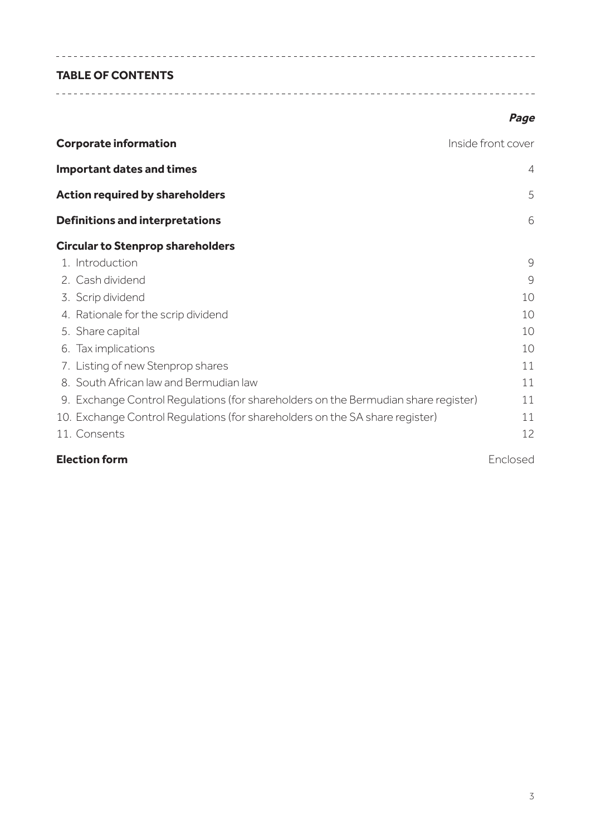# **TABLE OF CONTENTS**

# **Page**

| <b>Corporate information</b><br>Inside front cover                                 |                |
|------------------------------------------------------------------------------------|----------------|
| <b>Important dates and times</b>                                                   | $\overline{4}$ |
| <b>Action required by shareholders</b>                                             | 5              |
| <b>Definitions and interpretations</b>                                             | 6              |
| <b>Circular to Stenprop shareholders</b>                                           |                |
| 1. Introduction                                                                    | 9              |
| 2. Cash dividend                                                                   | 9              |
| 3. Scrip dividend                                                                  | 10             |
| 4. Rationale for the scrip dividend                                                | 10             |
| 5. Share capital                                                                   | 10             |
| 6. Tax implications                                                                | 10             |
| 7. Listing of new Stenprop shares                                                  | 11             |
| 8. South African law and Bermudian law                                             | 11             |
| 9. Exchange Control Regulations (for shareholders on the Bermudian share register) | 11             |
| 10. Exchange Control Regulations (for shareholders on the SA share register)       | 11             |
| 11. Consents                                                                       | 12             |
| <b>Election form</b>                                                               | Enclosed       |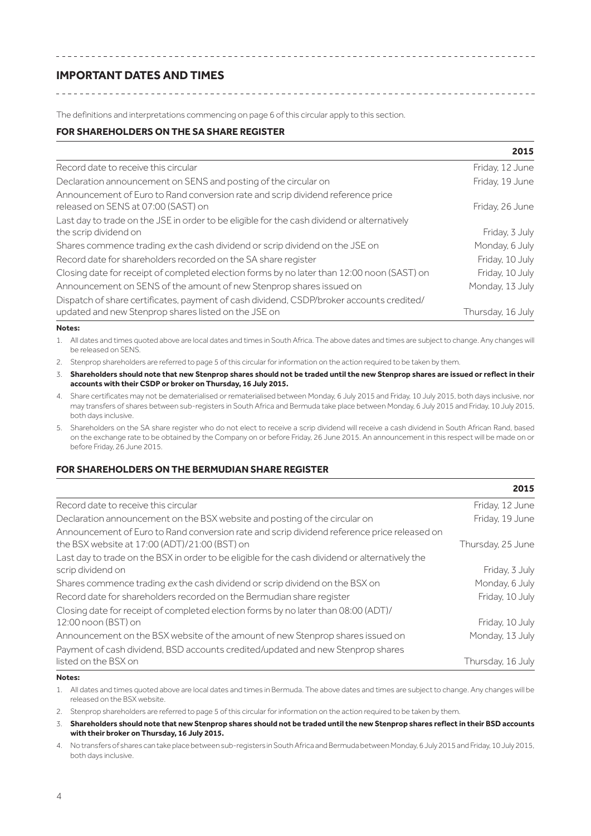# **IMPORTANT DATES AND TIMES**

The definitions and interpretations commencing on page 6 of this circular apply to this section.

# **FOR SHAREHOLDERS ON THE SA SHARE REGISTER**

|                                                                                                                                                  | 2015              |
|--------------------------------------------------------------------------------------------------------------------------------------------------|-------------------|
| Record date to receive this circular                                                                                                             | Friday, 12 June   |
| Declaration announcement on SENS and posting of the circular on                                                                                  | Friday, 19 June   |
| Announcement of Euro to Rand conversion rate and scrip dividend reference price<br>released on SENS at 07:00 (SAST) on                           | Friday, 26 June   |
| Last day to trade on the JSE in order to be eligible for the cash dividend or alternatively<br>the scrip dividend on                             | Friday, 3 July    |
| Shares commence trading ex the cash dividend or scrip dividend on the JSE on                                                                     | Monday, 6 July    |
| Record date for shareholders recorded on the SA share register                                                                                   | Friday, 10 July   |
| Closing date for receipt of completed election forms by no later than 12:00 noon (SAST) on                                                       | Friday, 10 July   |
| Announcement on SENS of the amount of new Stenprop shares issued on                                                                              | Monday, 13 July   |
| Dispatch of share certificates, payment of cash dividend, CSDP/broker accounts credited/<br>updated and new Stenprop shares listed on the JSE on | Thursday, 16 July |

#### **Notes:**

1. All dates and times quoted above are local dates and times in South Africa. The above dates and times are subject to change. Any changes will be released on SENS.

- 2. Stenprop shareholders are referred to page 5 of this circular for information on the action required to be taken by them.
- 3. **Shareholders should note that new Stenprop shares should not be traded until the new Stenprop shares are issued or reflect in their accounts with their CSDP or broker on Thursday, 16 July 2015.**
- 4. Share certificates may not be dematerialised or rematerialised between Monday, 6 July 2015 and Friday, 10 July 2015, both days inclusive, nor may transfers of shares between sub-registers in South Africa and Bermuda take place between Monday, 6 July 2015 and Friday, 10 July 2015, both days inclusive.
- 5. Shareholders on the SA share register who do not elect to receive a scrip dividend will receive a cash dividend in South African Rand, based on the exchange rate to be obtained by the Company on or before Friday, 26 June 2015. An announcement in this respect will be made on or before Friday, 26 June 2015.

# **FOR SHAREHOLDERS ON THE BERMUDIAN SHARE REGISTER**

|                                                                                                                                              | 2015              |
|----------------------------------------------------------------------------------------------------------------------------------------------|-------------------|
| Record date to receive this circular                                                                                                         | Friday, 12 June   |
| Declaration announcement on the BSX website and posting of the circular on                                                                   | Friday, 19 June   |
| Announcement of Euro to Rand conversion rate and scrip dividend reference price released on<br>the BSX website at 17:00 (ADT)/21:00 (BST) on | Thursday, 25 June |
| Last day to trade on the BSX in order to be eligible for the cash dividend or alternatively the                                              |                   |
| scrip dividend on                                                                                                                            | Friday, 3 July    |
| Shares commence trading ex the cash dividend or scrip dividend on the BSX on                                                                 | Monday, 6 July    |
| Record date for shareholders recorded on the Bermudian share register                                                                        | Friday, 10 July   |
| Closing date for receipt of completed election forms by no later than 08:00 (ADT)/                                                           |                   |
| 12:00 noon (BST) on                                                                                                                          | Friday, 10 July   |
| Announcement on the BSX website of the amount of new Stenprop shares issued on                                                               | Monday, 13 July   |
| Payment of cash dividend, BSD accounts credited/updated and new Stenprop shares                                                              |                   |
| listed on the BSX on                                                                                                                         | Thursday, 16 July |

## **Notes:**

1. All dates and times quoted above are local dates and times in Bermuda. The above dates and times are subject to change. Any changes will be released on the BSX website.

2. Stenprop shareholders are referred to page 5 of this circular for information on the action required to be taken by them.

3. **Shareholders should note that new Stenprop shares should not be traded until the new Stenprop shares reflect in their BSD accounts with their broker on Thursday, 16 July 2015.**

4. No transfers of shares can take place between sub-registers in South Africa and Bermuda between Monday, 6 July 2015 and Friday, 10 July 2015, both days inclusive.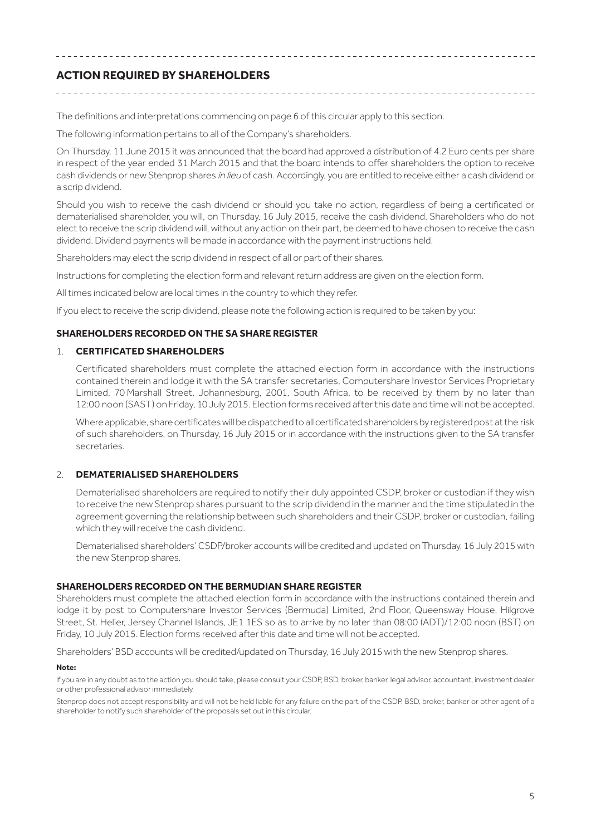# **ACTION REQUIRED BY SHAREHOLDERS**

The definitions and interpretations commencing on page 6 of this circular apply to this section.

The following information pertains to all of the Company's shareholders.

On Thursday, 11 June 2015 it was announced that the board had approved a distribution of 4.2 Euro cents per share in respect of the year ended 31 March 2015 and that the board intends to offer shareholders the option to receive cash dividends or new Stenprop shares in lieu of cash. Accordingly, you are entitled to receive either a cash dividend or a scrip dividend.

Should you wish to receive the cash dividend or should you take no action, regardless of being a certificated or dematerialised shareholder, you will, on Thursday, 16 July 2015, receive the cash dividend. Shareholders who do not elect to receive the scrip dividend will, without any action on their part, be deemed to have chosen to receive the cash dividend. Dividend payments will be made in accordance with the payment instructions held.

Shareholders may elect the scrip dividend in respect of all or part of their shares.

Instructions for completing the election form and relevant return address are given on the election form.

All times indicated below are local times in the country to which they refer.

If you elect to receive the scrip dividend, please note the following action is required to be taken by you:

# **SHAREHOLDERS RECORDED ON THE SA SHARE REGISTER**

# 1. **CERTIFICATED SHAREHOLDERS**

Certificated shareholders must complete the attached election form in accordance with the instructions contained therein and lodge it with the SA transfer secretaries, Computershare Investor Services Proprietary Limited, 70 Marshall Street, Johannesburg, 2001, South Africa, to be received by them by no later than 12:00 noon (SAST) on Friday, 10 July 2015. Election forms received after this date and time will not be accepted.

Where applicable, share certificates will be dispatched to all certificated shareholders by registered post at the risk of such shareholders, on Thursday, 16 July 2015 or in accordance with the instructions given to the SA transfer secretaries.

# 2. **DEMATERIALISED SHAREHOLDERS**

Dematerialised shareholders are required to notify their duly appointed CSDP, broker or custodian if they wish to receive the new Stenprop shares pursuant to the scrip dividend in the manner and the time stipulated in the agreement governing the relationship between such shareholders and their CSDP, broker or custodian, failing which they will receive the cash dividend.

Dematerialised shareholders' CSDP/broker accounts will be credited and updated on Thursday, 16 July 2015 with the new Stenprop shares.

# **SHAREHOLDERS RECORDED ON THE BERMUDIAN SHARE REGISTER**

Shareholders must complete the attached election form in accordance with the instructions contained therein and lodge it by post to Computershare Investor Services (Bermuda) Limited, 2nd Floor, Queensway House, Hilgrove Street, St. Helier, Jersey Channel Islands, JE1 1ES so as to arrive by no later than 08:00 (ADT)/12:00 noon (BST) on Friday, 10 July 2015. Election forms received after this date and time will not be accepted.

Shareholders' BSD accounts will be credited/updated on Thursday, 16 July 2015 with the new Stenprop shares.

## **Note:**

If you are in any doubt as to the action you should take, please consult your CSDP, BSD, broker, banker, legal advisor, accountant, investment dealer or other professional advisor immediately.

Stenprop does not accept responsibility and will not be held liable for any failure on the part of the CSDP, BSD, broker, banker or other agent of a shareholder to notify such shareholder of the proposals set out in this circular.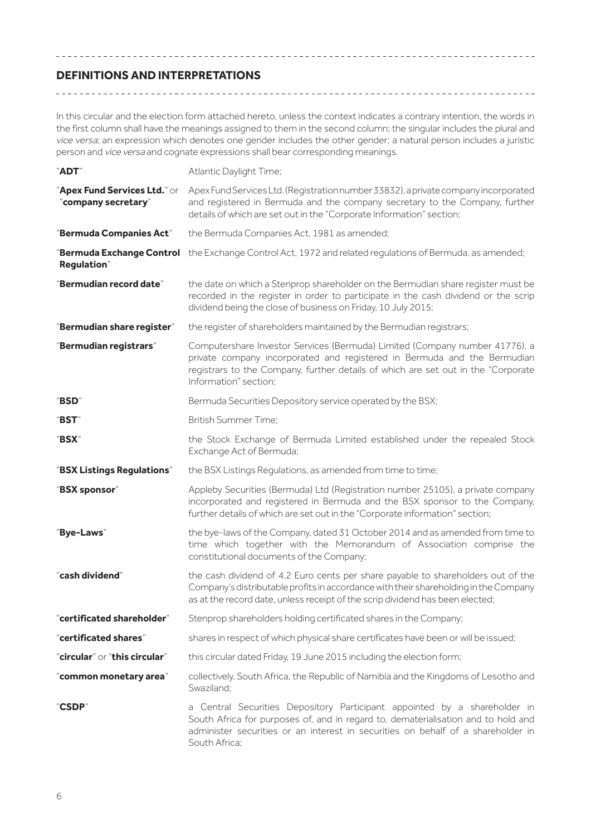# **DEFINITIONS AND INTERPRETATIONS**

In this circular and the election form attached hereto, unless the context indicates a contrary intention, the words in the first column shall have the meanings assigned to them in the second column; the singular includes the plural and vice versa; an expression which denotes one gender includes the other gender; a natural person includes a juristic person and vice versa and cognate expressions shall bear corresponding meanings.

| "ADT"                                               | Atlantic Daylight Time;                                                                                                                                                                                                                                               |
|-----------------------------------------------------|-----------------------------------------------------------------------------------------------------------------------------------------------------------------------------------------------------------------------------------------------------------------------|
| "Apex Fund Services Ltd." or<br>"company secretary" | Apex Fund Services Ltd. (Registration number 33832), a private company incorporated<br>and registered in Bermuda and the company secretary to the Company, further<br>details of which are set out in the "Corporate Information" section;                            |
| "Bermuda Companies Act"                             | the Bermuda Companies Act, 1981 as amended;                                                                                                                                                                                                                           |
| <b>Regulation</b> "                                 | "Bermuda Exchange Control the Exchange Control Act, 1972 and related regulations of Bermuda, as amended;                                                                                                                                                              |
| "Bermudian record date"                             | the date on which a Stenprop shareholder on the Bermudian share register must be<br>recorded in the register in order to participate in the cash dividend or the scrip<br>dividend being the close of business on Friday, 10 July 2015;                               |
| "Bermudian share register"                          | the register of shareholders maintained by the Bermudian registrars;                                                                                                                                                                                                  |
| "Bermudian registrars"                              | Computershare Investor Services (Bermuda) Limited (Company number 41776), a<br>private company incorporated and registered in Bermuda and the Bermudian<br>registrars to the Company, further details of which are set out in the "Corporate<br>Information" section; |
| "BSD"                                               | Bermuda Securities Depository service operated by the BSX;                                                                                                                                                                                                            |
| "BST"                                               | British Summer Time;                                                                                                                                                                                                                                                  |
| "BSX"                                               | the Stock Exchange of Bermuda Limited established under the repealed Stock<br>Exchange Act of Bermuda;                                                                                                                                                                |
| "BSX Listings Regulations"                          | the BSX Listings Regulations, as amended from time to time;                                                                                                                                                                                                           |
| "BSX sponsor"                                       | Appleby Securities (Bermuda) Ltd (Registration number 25105), a private company<br>incorporated and registered in Bermuda and the BSX sponsor to the Company,<br>further details of which are set out in the "Corporate information" section;                         |
| "Bye-Laws"                                          | the bye-laws of the Company, dated 31 October 2014 and as amended from time to<br>time which together with the Memorandum of Association comprise the<br>constitutional documents of the Company;                                                                     |
| "cash dividend"                                     | the cash dividend of 4.2 Euro cents per share payable to shareholders out of the<br>Company's distributable profits in accordance with their shareholding in the Company<br>as at the record date, unless receipt of the scrip dividend has been elected;             |
| 'certificated shareholder"                          | Stenprop shareholders holding certificated shares in the Company;                                                                                                                                                                                                     |
| "certificated shares"                               | shares in respect of which physical share certificates have been or will be issued;                                                                                                                                                                                   |
| "circular" or "this circular"                       | this circular dated Friday, 19 June 2015 including the election form;                                                                                                                                                                                                 |
| "common monetary area"                              | collectively, South Africa, the Republic of Namibia and the Kingdoms of Lesotho and<br>Swaziland:                                                                                                                                                                     |
| "CSDP"                                              | a Central Securities Depository Participant appointed by a shareholder in<br>South Africa for purposes of, and in regard to, dematerialisation and to hold and<br>administer securities or an interest in securities on behalf of a shareholder in<br>South Africa;   |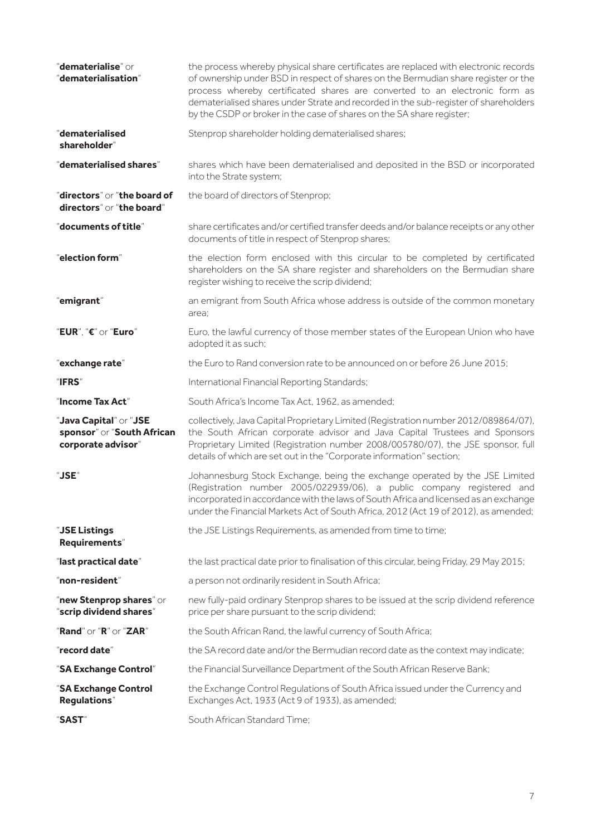| "dematerialise" or<br>"dematerialisation"                                  | the process whereby physical share certificates are replaced with electronic records<br>of ownership under BSD in respect of shares on the Bermudian share register or the<br>process whereby certificated shares are converted to an electronic form as<br>dematerialised shares under Strate and recorded in the sub-register of shareholders<br>by the CSDP or broker in the case of shares on the SA share register; |
|----------------------------------------------------------------------------|--------------------------------------------------------------------------------------------------------------------------------------------------------------------------------------------------------------------------------------------------------------------------------------------------------------------------------------------------------------------------------------------------------------------------|
| "dematerialised<br>shareholder"                                            | Stenprop shareholder holding dematerialised shares;                                                                                                                                                                                                                                                                                                                                                                      |
| "dematerialised shares"                                                    | shares which have been dematerialised and deposited in the BSD or incorporated<br>into the Strate system;                                                                                                                                                                                                                                                                                                                |
| "directors" or "the board of<br>directors" or "the board"                  | the board of directors of Stenprop;                                                                                                                                                                                                                                                                                                                                                                                      |
| "documents of title"                                                       | share certificates and/or certified transfer deeds and/or balance receipts or any other<br>documents of title in respect of Stenprop shares;                                                                                                                                                                                                                                                                             |
| "election form"                                                            | the election form enclosed with this circular to be completed by certificated<br>shareholders on the SA share register and shareholders on the Bermudian share<br>register wishing to receive the scrip dividend;                                                                                                                                                                                                        |
| "emigrant"                                                                 | an emigrant from South Africa whose address is outside of the common monetary<br>area:                                                                                                                                                                                                                                                                                                                                   |
| "EUR", "€" or "Euro"                                                       | Euro, the lawful currency of those member states of the European Union who have<br>adopted it as such;                                                                                                                                                                                                                                                                                                                   |
| "exchange rate"                                                            | the Euro to Rand conversion rate to be announced on or before 26 June 2015;                                                                                                                                                                                                                                                                                                                                              |
| "IFRS"                                                                     | International Financial Reporting Standards;                                                                                                                                                                                                                                                                                                                                                                             |
| "Income Tax Act"                                                           | South Africa's Income Tax Act, 1962, as amended;                                                                                                                                                                                                                                                                                                                                                                         |
| "Java Capital" or "JSE<br>sponsor" or "South African<br>corporate advisor" | collectively, Java Capital Proprietary Limited (Registration number 2012/089864/07),<br>the South African corporate advisor and Java Capital Trustees and Sponsors<br>Proprietary Limited (Registration number 2008/005780/07), the JSE sponsor, full<br>details of which are set out in the "Corporate information" section;                                                                                            |
| "JSE"                                                                      | Johannesburg Stock Exchange, being the exchange operated by the JSE Limited<br>(Registration number 2005/022939/06), a public company registered and<br>incorporated in accordance with the laws of South Africa and licensed as an exchange<br>under the Financial Markets Act of South Africa, 2012 (Act 19 of 2012), as amended;                                                                                      |
| "JSE Listings<br>Requirements"                                             | the JSE Listings Requirements, as amended from time to time;                                                                                                                                                                                                                                                                                                                                                             |
| "last practical date"                                                      | the last practical date prior to finalisation of this circular, being Friday, 29 May 2015;                                                                                                                                                                                                                                                                                                                               |
| "non-resident"                                                             | a person not ordinarily resident in South Africa;                                                                                                                                                                                                                                                                                                                                                                        |
| "new Stenprop shares" or<br>"scrip dividend shares"                        | new fully-paid ordinary Stenprop shares to be issued at the scrip dividend reference<br>price per share pursuant to the scrip dividend;                                                                                                                                                                                                                                                                                  |
| "Rand" or "R" or "ZAR"                                                     | the South African Rand, the lawful currency of South Africa;                                                                                                                                                                                                                                                                                                                                                             |
| "record date"                                                              | the SA record date and/or the Bermudian record date as the context may indicate;                                                                                                                                                                                                                                                                                                                                         |
| "SA Exchange Control"                                                      | the Financial Surveillance Department of the South African Reserve Bank;                                                                                                                                                                                                                                                                                                                                                 |
| "SA Exchange Control<br><b>Regulations</b> "                               | the Exchange Control Regulations of South Africa issued under the Currency and<br>Exchanges Act, 1933 (Act 9 of 1933), as amended;                                                                                                                                                                                                                                                                                       |
| "SAST"                                                                     | South African Standard Time;                                                                                                                                                                                                                                                                                                                                                                                             |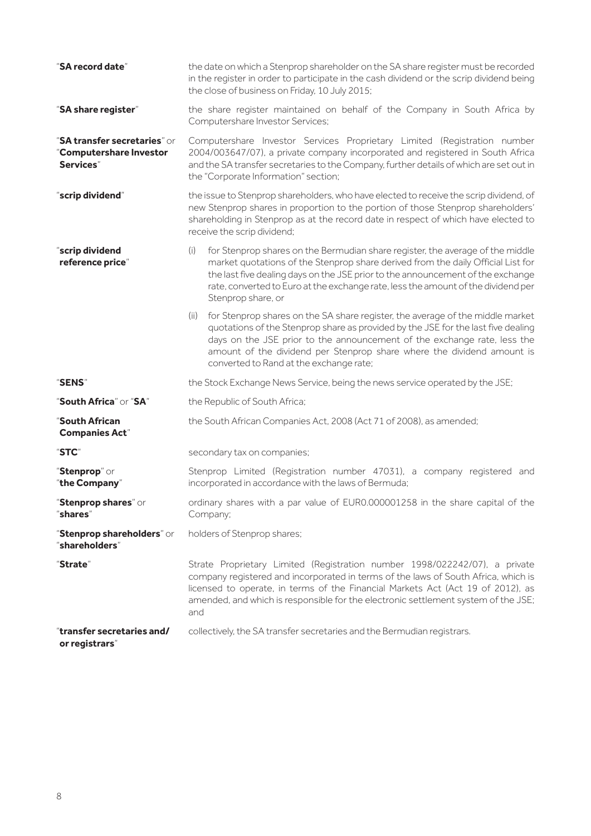| "SA record date"                                                     | the date on which a Stenprop shareholder on the SA share register must be recorded<br>in the register in order to participate in the cash dividend or the scrip dividend being<br>the close of business on Friday, 10 July 2015;                                                                                                                                             |  |
|----------------------------------------------------------------------|------------------------------------------------------------------------------------------------------------------------------------------------------------------------------------------------------------------------------------------------------------------------------------------------------------------------------------------------------------------------------|--|
| "SA share register"                                                  | the share register maintained on behalf of the Company in South Africa by<br>Computershare Investor Services;                                                                                                                                                                                                                                                                |  |
| "SA transfer secretaries" or<br>"Computershare Investor<br>Services" | Computershare Investor Services Proprietary Limited (Registration number<br>2004/003647/07), a private company incorporated and registered in South Africa<br>and the SA transfer secretaries to the Company, further details of which are set out in<br>the "Corporate Information" section;                                                                                |  |
| "scrip dividend"                                                     | the issue to Stenprop shareholders, who have elected to receive the scrip dividend, of<br>new Stenprop shares in proportion to the portion of those Stenprop shareholders'<br>shareholding in Stenprop as at the record date in respect of which have elected to<br>receive the scrip dividend;                                                                              |  |
| "scrip dividend<br>reference price"                                  | for Stenprop shares on the Bermudian share register, the average of the middle<br>(i)<br>market quotations of the Stenprop share derived from the daily Official List for<br>the last five dealing days on the JSE prior to the announcement of the exchange<br>rate, converted to Euro at the exchange rate, less the amount of the dividend per<br>Stenprop share, or      |  |
|                                                                      | for Stenprop shares on the SA share register, the average of the middle market<br>(ii)<br>quotations of the Stenprop share as provided by the JSE for the last five dealing<br>days on the JSE prior to the announcement of the exchange rate, less the<br>amount of the dividend per Stenprop share where the dividend amount is<br>converted to Rand at the exchange rate; |  |
| "SENS"                                                               | the Stock Exchange News Service, being the news service operated by the JSE;                                                                                                                                                                                                                                                                                                 |  |
| "South Africa" or "SA"                                               | the Republic of South Africa;                                                                                                                                                                                                                                                                                                                                                |  |
| "South African<br><b>Companies Act"</b>                              | the South African Companies Act, 2008 (Act 71 of 2008), as amended;                                                                                                                                                                                                                                                                                                          |  |
| "STC"                                                                | secondary tax on companies;                                                                                                                                                                                                                                                                                                                                                  |  |
| "Stenprop" or<br>"the Company"                                       | Stenprop Limited (Registration number 47031), a company registered and<br>incorporated in accordance with the laws of Bermuda;                                                                                                                                                                                                                                               |  |
| "Stenprop shares" or<br>"shares"                                     | ordinary shares with a par value of EUR0.000001258 in the share capital of the<br>Company;                                                                                                                                                                                                                                                                                   |  |
| "Stenprop shareholders" or<br>"shareholders"                         | holders of Stenprop shares;                                                                                                                                                                                                                                                                                                                                                  |  |
| "Strate"                                                             | Strate Proprietary Limited (Registration number 1998/022242/07), a private<br>company registered and incorporated in terms of the laws of South Africa, which is<br>licensed to operate, in terms of the Financial Markets Act (Act 19 of 2012), as<br>amended, and which is responsible for the electronic settlement system of the JSE;<br>and                             |  |
| "transfer secretaries and/<br>or registrars"                         | collectively, the SA transfer secretaries and the Bermudian registrars.                                                                                                                                                                                                                                                                                                      |  |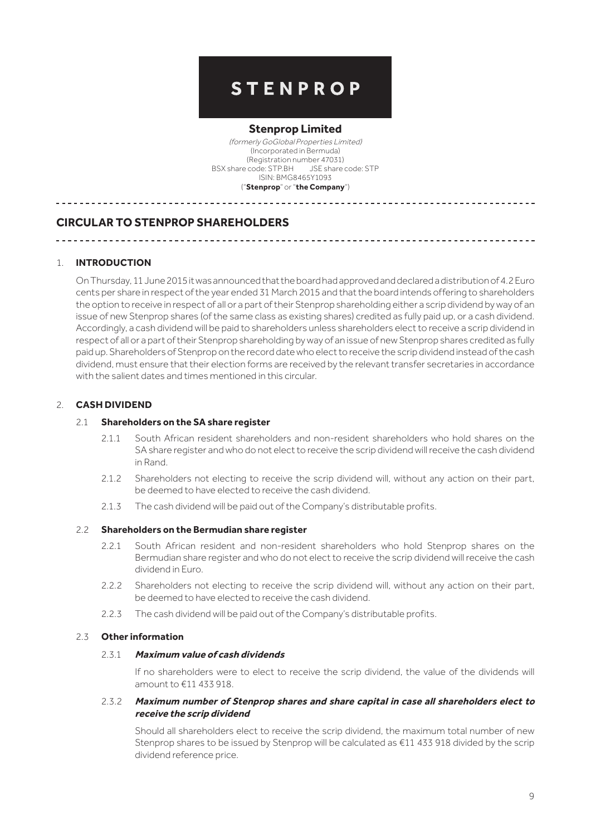# **STENPROP**

# **Stenprop Limited**

(formerly GoGlobal Properties Limited) (Incorporated in Bermuda) (Registration number 47031) BSX share code: STP.BH JSE share code: STP ISIN: BMG8465Y1093 ("**Stenprop**" or "**the Company**")

# **CIRCULAR TO STENPROP SHAREHOLDERS**

# 1. **INTRODUCTION**

On Thursday, 11 June 2015 it was announced that the board had approved and declared a distribution of 4.2 Euro cents per share in respect of the year ended 31 March 2015 and that the board intends offering to shareholders the option to receive in respect of all or a part of their Stenprop shareholding either a scrip dividend by way of an issue of new Stenprop shares (of the same class as existing shares) credited as fully paid up, or a cash dividend. Accordingly, a cash dividend will be paid to shareholders unless shareholders elect to receive a scrip dividend in respect of all or a part of their Stenprop shareholding by way of an issue of new Stenprop shares credited as fully paid up. Shareholders of Stenprop on the record date who elect to receive the scrip dividend instead of the cash dividend, must ensure that their election forms are received by the relevant transfer secretaries in accordance with the salient dates and times mentioned in this circular.

# 2. **CASH DIVIDEND**

# 2.1 **Shareholders on the SA share register**

- 2.1.1 South African resident shareholders and non-resident shareholders who hold shares on the SA share register and who do not elect to receive the scrip dividend will receive the cash dividend in Rand.
- 2.1.2 Shareholders not electing to receive the scrip dividend will, without any action on their part, be deemed to have elected to receive the cash dividend.
- 2.1.3 The cash dividend will be paid out of the Company's distributable profits.

# 2.2 **Shareholders on the Bermudian share register**

- 2.2.1 South African resident and non-resident shareholders who hold Stenprop shares on the Bermudian share register and who do not elect to receive the scrip dividend will receive the cash dividend in Euro.
- 2.2.2 Shareholders not electing to receive the scrip dividend will, without any action on their part, be deemed to have elected to receive the cash dividend.
- 2.2.3 The cash dividend will be paid out of the Company's distributable profits.

# 2.3 **Other information**

## 2.3.1 **Maximum value of cash dividends**

If no shareholders were to elect to receive the scrip dividend, the value of the dividends will amount to €11 433 918.

# 2.3.2 **Maximum number of Stenprop shares and share capital in case all shareholders elect to receive the scrip dividend**

Should all shareholders elect to receive the scrip dividend, the maximum total number of new Stenprop shares to be issued by Stenprop will be calculated as €11 433 918 divided by the scrip dividend reference price.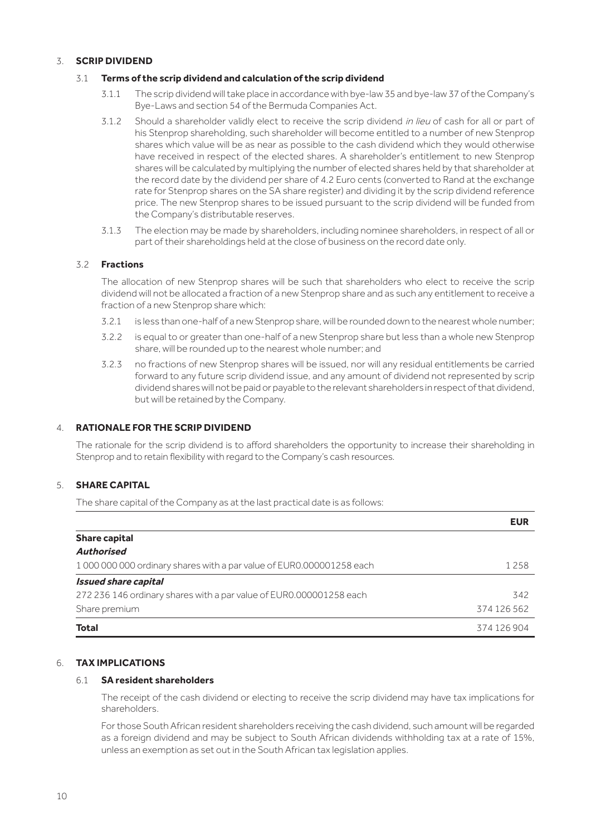# 3. **SCRIP DIVIDEND**

# 3.1 **Terms of the scrip dividend and calculation of the scrip dividend**

- 3.1.1 The scrip dividend will take place in accordance with bye-law 35 and bye-law 37 of the Company's Bye-Laws and section 54 of the Bermuda Companies Act.
- 3.1.2 Should a shareholder validly elect to receive the scrip dividend in lieu of cash for all or part of his Stenprop shareholding, such shareholder will become entitled to a number of new Stenprop shares which value will be as near as possible to the cash dividend which they would otherwise have received in respect of the elected shares. A shareholder's entitlement to new Stenprop shares will be calculated by multiplying the number of elected shares held by that shareholder at the record date by the dividend per share of 4.2 Euro cents (converted to Rand at the exchange rate for Stenprop shares on the SA share register) and dividing it by the scrip dividend reference price. The new Stenprop shares to be issued pursuant to the scrip dividend will be funded from the Company's distributable reserves.
- 3.1.3 The election may be made by shareholders, including nominee shareholders, in respect of all or part of their shareholdings held at the close of business on the record date only.

# 3.2 **Fractions**

The allocation of new Stenprop shares will be such that shareholders who elect to receive the scrip dividend will not be allocated a fraction of a new Stenprop share and as such any entitlement to receive a fraction of a new Stenprop share which:

- 3.2.1 is less than one-half of a new Stenprop share, will be rounded down to the nearest whole number;
- 3.2.2 is equal to or greater than one-half of a new Stenprop share but less than a whole new Stenprop share, will be rounded up to the nearest whole number; and
- 3.2.3 no fractions of new Stenprop shares will be issued, nor will any residual entitlements be carried forward to any future scrip dividend issue, and any amount of dividend not represented by scrip dividend shares will not be paid or payable to the relevant shareholders in respect of that dividend, but will be retained by the Company.

# 4. **RATIONALE FOR THE SCRIP DIVIDEND**

The rationale for the scrip dividend is to afford shareholders the opportunity to increase their shareholding in Stenprop and to retain flexibility with regard to the Company's cash resources.

# 5. **SHARE CAPITAL**

The share capital of the Company as at the last practical date is as follows:

|                                                                     | <b>EUR</b>  |
|---------------------------------------------------------------------|-------------|
| <b>Share capital</b>                                                |             |
| <b>Authorised</b>                                                   |             |
| 10000000000 ordinary shares with a par value of EUR0.000001258 each | 1 2 5 8     |
| <b>Issued share capital</b>                                         |             |
| 272 236 146 ordinary shares with a par value of EUR0.000001258 each | 342         |
| Share premium                                                       | 374 126 562 |
| Total                                                               | 374 126 904 |

# 6. **TAX IMPLICATIONS**

# 6.1 **SA resident shareholders**

The receipt of the cash dividend or electing to receive the scrip dividend may have tax implications for shareholders.

For those South African resident shareholders receiving the cash dividend, such amount will be regarded as a foreign dividend and may be subject to South African dividends withholding tax at a rate of 15%, unless an exemption as set out in the South African tax legislation applies.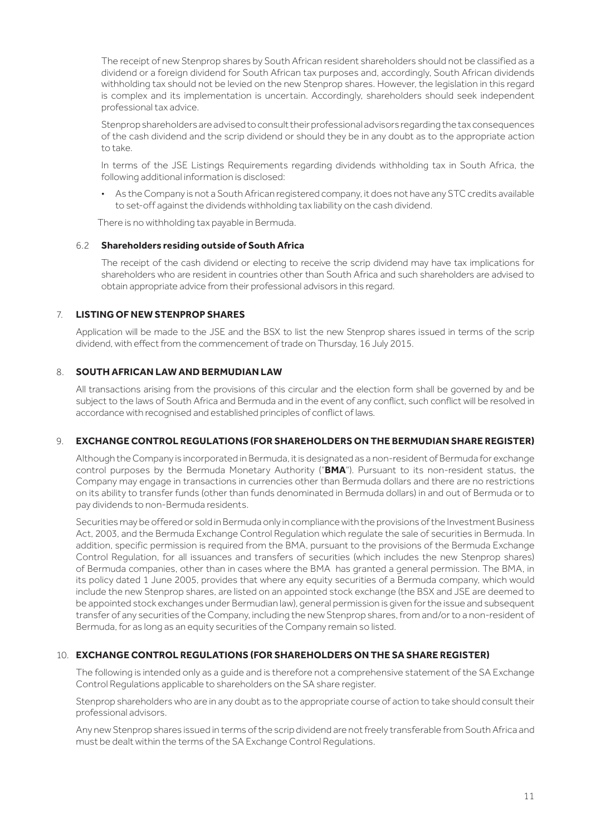The receipt of new Stenprop shares by South African resident shareholders should not be classified as a dividend or a foreign dividend for South African tax purposes and, accordingly, South African dividends withholding tax should not be levied on the new Stenprop shares. However, the legislation in this regard is complex and its implementation is uncertain. Accordingly, shareholders should seek independent professional tax advice.

Stenprop shareholders are advised to consult their professional advisors regarding the tax consequences of the cash dividend and the scrip dividend or should they be in any doubt as to the appropriate action to take.

In terms of the JSE Listings Requirements regarding dividends withholding tax in South Africa, the following additional information is disclosed:

• As the Company is not a South African registered company, it does not have any STC credits available to set-off against the dividends withholding tax liability on the cash dividend.

There is no withholding tax payable in Bermuda.

# 6.2 **Shareholders residing outside of South Africa**

The receipt of the cash dividend or electing to receive the scrip dividend may have tax implications for shareholders who are resident in countries other than South Africa and such shareholders are advised to obtain appropriate advice from their professional advisors in this regard.

# 7. **LISTING OF NEW STENPROP SHARES**

Application will be made to the JSE and the BSX to list the new Stenprop shares issued in terms of the scrip dividend, with effect from the commencement of trade on Thursday, 16 July 2015.

# 8. **SOUTH AFRICAN LAW AND BERMUDIAN LAW**

All transactions arising from the provisions of this circular and the election form shall be governed by and be subject to the laws of South Africa and Bermuda and in the event of any conflict, such conflict will be resolved in accordance with recognised and established principles of conflict of laws.

# 9. **EXCHANGE CONTROL REGULATIONS (FOR SHAREHOLDERS ON THE BERMUDIAN SHARE REGISTER)**

Although the Company is incorporated in Bermuda, it is designated as a non-resident of Bermuda for exchange control purposes by the Bermuda Monetary Authority ("**BMA**"). Pursuant to its non-resident status, the Company may engage in transactions in currencies other than Bermuda dollars and there are no restrictions on its ability to transfer funds (other than funds denominated in Bermuda dollars) in and out of Bermuda or to pay dividends to non-Bermuda residents.

Securities may be offered or sold in Bermuda only in compliance with the provisions of the Investment Business Act, 2003, and the Bermuda Exchange Control Regulation which regulate the sale of securities in Bermuda. In addition, specific permission is required from the BMA, pursuant to the provisions of the Bermuda Exchange Control Regulation, for all issuances and transfers of securities (which includes the new Stenprop shares) of Bermuda companies, other than in cases where the BMA has granted a general permission. The BMA, in its policy dated 1 June 2005, provides that where any equity securities of a Bermuda company, which would include the new Stenprop shares, are listed on an appointed stock exchange (the BSX and JSE are deemed to be appointed stock exchanges under Bermudian law), general permission is given for the issue and subsequent transfer of any securities of the Company, including the new Stenprop shares, from and/or to a non-resident of Bermuda, for as long as an equity securities of the Company remain so listed.

# 10. **EXCHANGE CONTROL REGULATIONS (FOR SHAREHOLDERS ON THE SA SHARE REGISTER)**

The following is intended only as a guide and is therefore not a comprehensive statement of the SA Exchange Control Regulations applicable to shareholders on the SA share register.

Stenprop shareholders who are in any doubt as to the appropriate course of action to take should consult their professional advisors.

Any new Stenprop shares issued in terms of the scrip dividend are not freely transferable from South Africa and must be dealt within the terms of the SA Exchange Control Regulations.